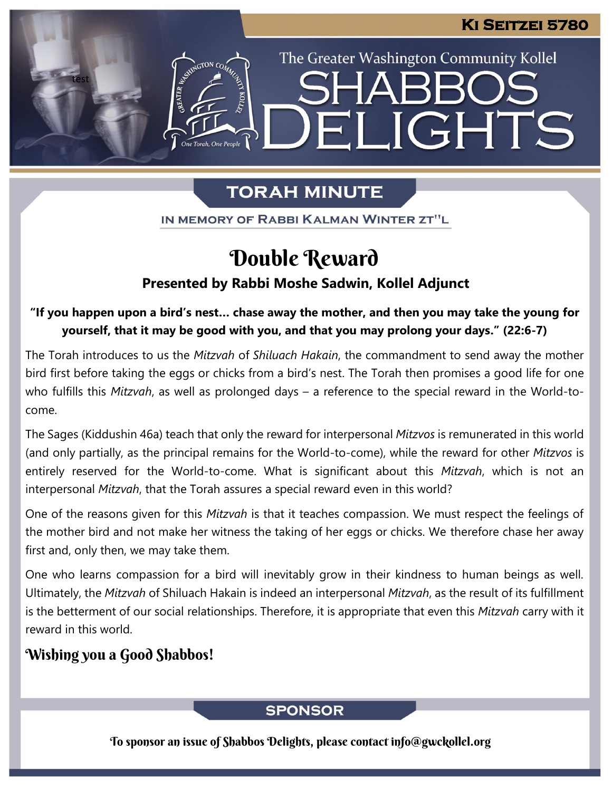The Greater Washington Community Kollel

ELIGHTS

# **TORAH MINUTE**

IN MEMORY OF RABBI KALMAN WINTER ZT"L

# Double Reward

### **Presented by Rabbi Moshe Sadwin, Kollel Adjunct**

**"If you happen upon a bird's nest… chase away the mother, and then you may take the young for yourself, that it may be good with you, and that you may prolong your days." (22:6-7)**

The Torah introduces to us the *Mitzvah* of *Shiluach Hakain*, the commandment to send away the mother bird first before taking the eggs or chicks from a bird's nest. The Torah then promises a good life for one who fulfills this *Mitzvah*, as well as prolonged days – a reference to the special reward in the World-tocome.

The Sages (Kiddushin 46a) teach that only the reward for interpersonal *Mitzvos* is remunerated in this world (and only partially, as the principal remains for the World-to-come), while the reward for other *Mitzvos* is entirely reserved for the World-to-come. What is significant about this *Mitzvah*, which is not an interpersonal *Mitzvah*, that the Torah assures a special reward even in this world?

One of the reasons given for this *Mitzvah* is that it teaches compassion. We must respect the feelings of the mother bird and not make her witness the taking of her eggs or chicks. We therefore chase her away first and, only then, we may take them.

One who learns compassion for a bird will inevitably grow in their kindness to human beings as well. Ultimately, the *Mitzvah* of Shiluach Hakain is indeed an interpersonal *Mitzvah*, as the result of its fulfillment is the betterment of our social relationships. Therefore, it is appropriate that even this *Mitzvah* carry with it reward in this world.

# Wishing you a Good Shabbos!

test

### **SPONSOR**

To sponsor an issue of Shabbos Delights, please contact info@gwckollel.org